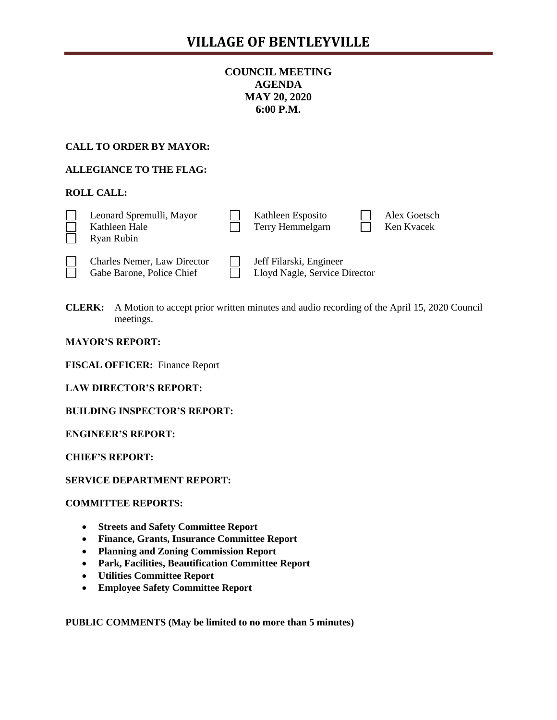# **COUNCIL MEETING AGENDA MAY 20, 2020 6:00 P.M.**

## **CALL TO ORDER BY MAYOR:**

## **ALLEGIANCE TO THE FLAG:**

## **ROLL CALL:**

| Leonard Spremulli, Mayor<br>Kathleen Hale<br>Ryan Rubin         | Kathleen Esposito<br>Terry Hemmelgarn                    | Alex Goetsch<br>Ken Kvacek |
|-----------------------------------------------------------------|----------------------------------------------------------|----------------------------|
| <b>Charles Nemer, Law Director</b><br>Gabe Barone, Police Chief | Jeff Filarski, Engineer<br>Lloyd Nagle, Service Director |                            |

Gabe Barone, Police Chief  $\Box$  Lloyd Nagle, Service Director

**CLERK:** A Motion to accept prior written minutes and audio recording of the April 15, 2020 Council meetings.

**MAYOR'S REPORT:** 

**FISCAL OFFICER:** Finance Report

**LAW DIRECTOR'S REPORT:**

**BUILDING INSPECTOR'S REPORT:**

**ENGINEER'S REPORT:**

**CHIEF'S REPORT:**

**SERVICE DEPARTMENT REPORT:**

### **COMMITTEE REPORTS:**

- **Streets and Safety Committee Report**
- **Finance, Grants, Insurance Committee Report**
- **Planning and Zoning Commission Report**
- **Park, Facilities, Beautification Committee Report**
- **Utilities Committee Report**
- **Employee Safety Committee Report**

**PUBLIC COMMENTS (May be limited to no more than 5 minutes)**